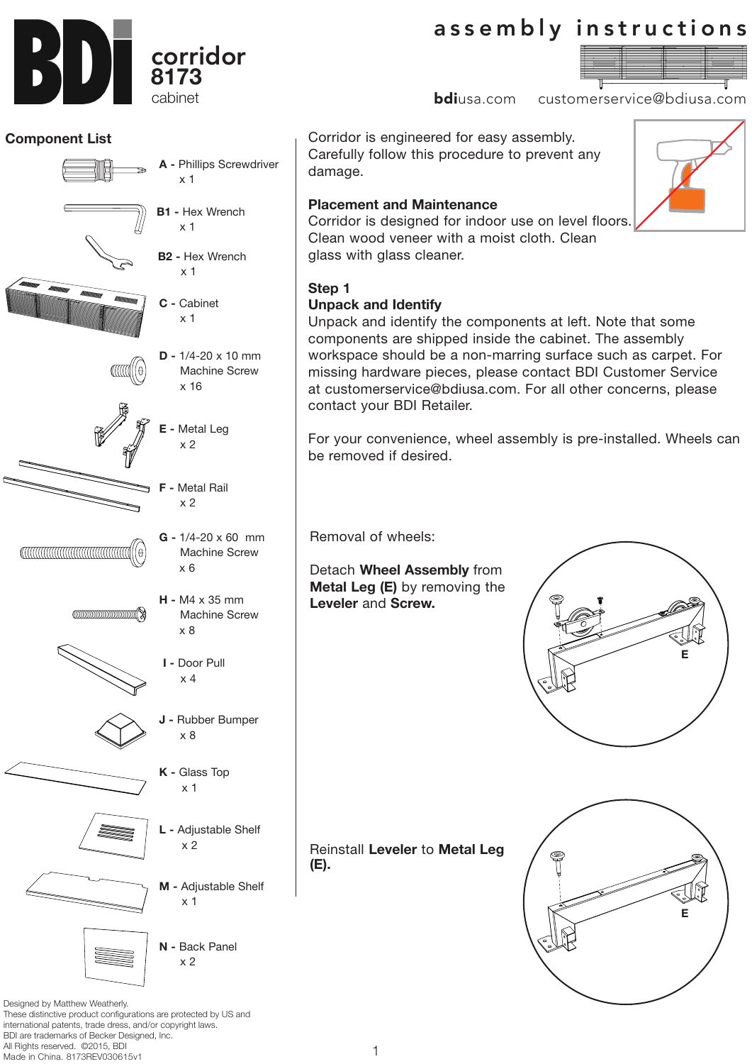**Placement and Maintenance** Corridor is designed for indoor use on level floors. Clean wood veneer with a moist cloth. Clean

glass with glass cleaner.

# **Step 1**

damage.

# **Unpack and Identify**

Unpack and identify the components at left. Note that some components are shipped inside the cabinet. The assembly workspace should be a non-marring surface such as carpet. For missing hardware pieces, please contact BDI Customer Service at customerservice@bdiusa.com. For all other concerns, please contact your BDI Retailer.

For your convenience, wheel assembly is pre-installed. Wheels can be removed if desired.

Removal of wheels:

Detach **Wheel Assembly** from **Metal Leg (E)** by removing the **Leveler** and **Screw.** 

Reinstall **Leveler** to **Metal Leg (E).**

Designed by Matthew Weatherly. These distinctive product configurations are protected by US and international patents, trade dress, and/or copyright laws. BDI are trademarks of Becker Designed, Inc. All Rights reserved. ©2015, BDI Made in China. 8173REV030615v1



**E**

**E**

# assembly instructions

Corridor is engineered for easy assembly. Carefully follow this procedure to prevent any

**bdi**usa.com customerservice@bdiusa.com

**Component List** corridor **8173** cabinet

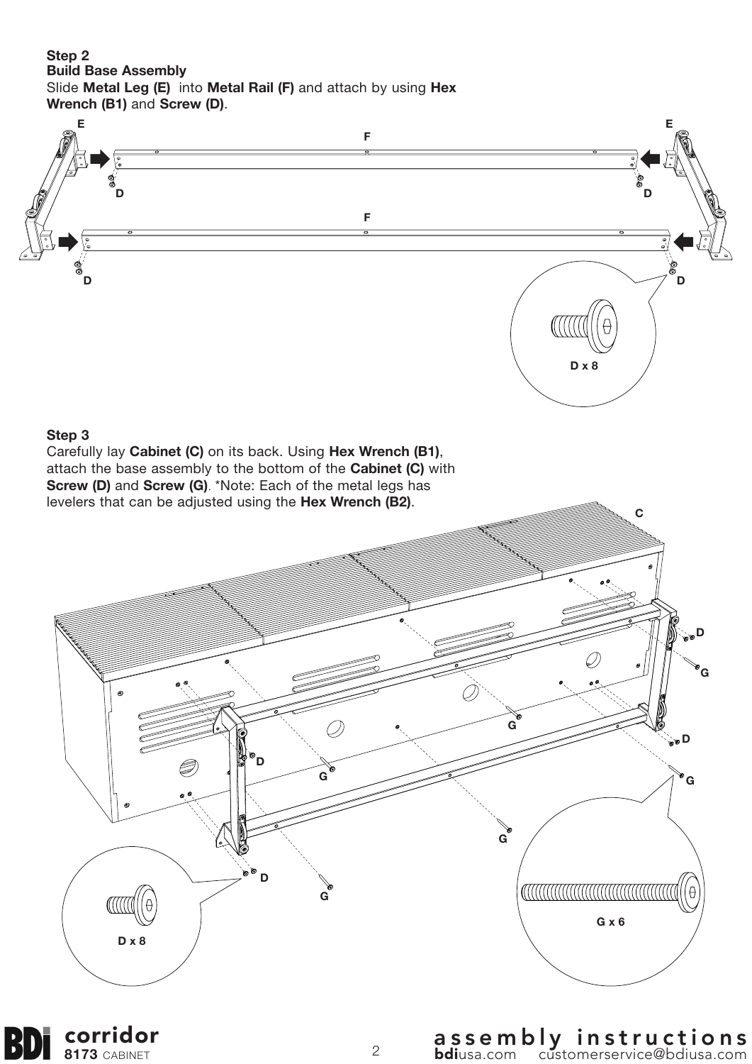#### **Step 2 Build Base Assembly** Slide **Metal Leg (E)** into **Metal Rail (F)** and attach by using **Hex Wrench (B1)** and **Screw (D)**.



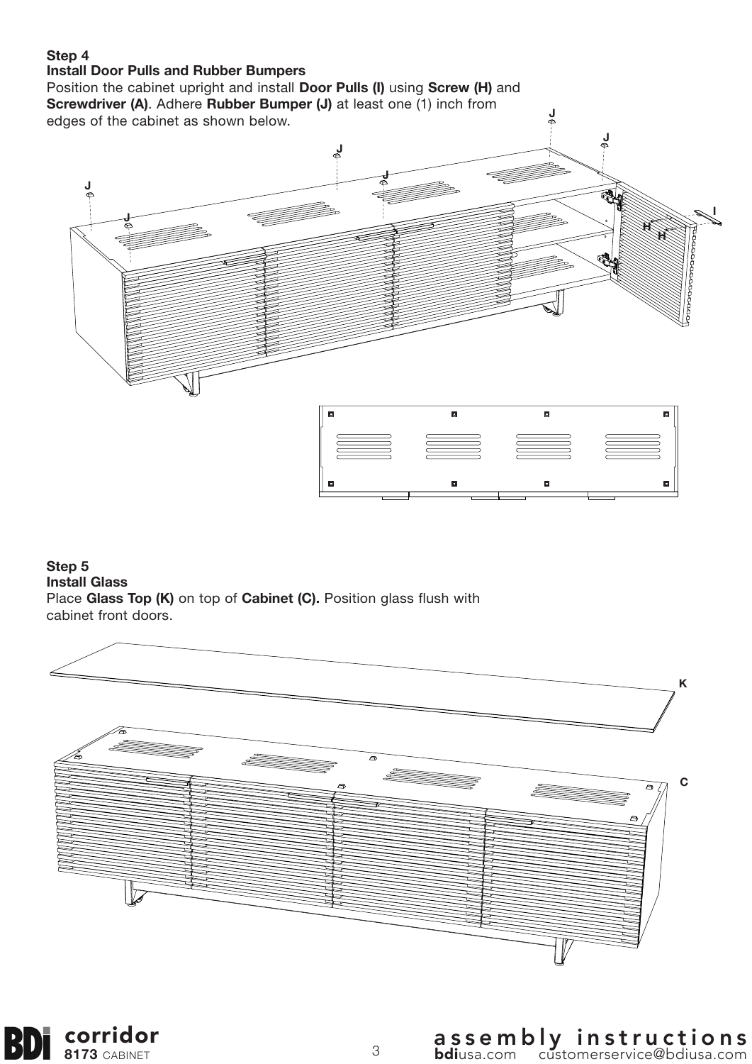### **Step 4**

#### **Install Door Pulls and Rubber Bumpers**

Position the cabinet upright and install **Door Pulls (I)** using **Screw (H)** and **Screwdriver (A)**. Adhere **Rubber Bumper (J)** at least one (1) inch from edges of the cabinet as shown below.



**J**

**Step 5 Install Glass** Place **Glass Top (K)** on top of **Cabinet (C).** Position glass flush with cabinet front doors.



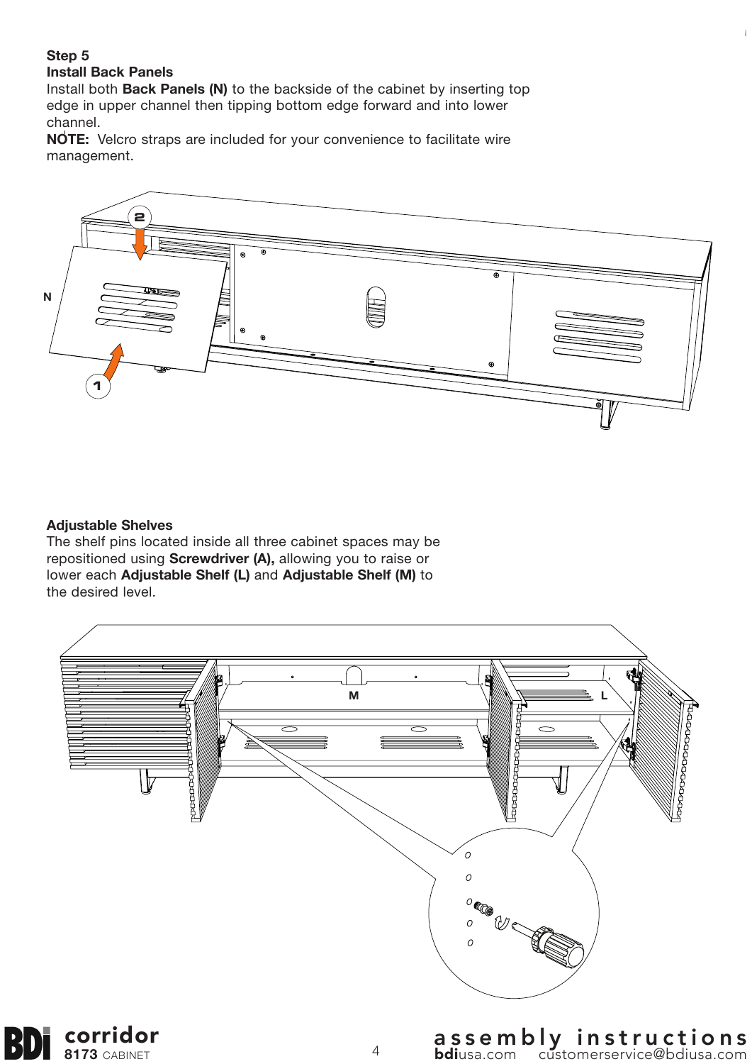#### **Step 5**

#### **Install Back Panels**

Install both **Back Panels (N)** to the backside of the cabinet by inserting top edge in upper channel then tipping bottom edge forward and into lower channel.

**NOTE:** Velcro straps are included for your convenience to facilitate wire management.



#### **Adjustable Shelves**

 $|3)$ 

The shelf pins located inside all three cabinet spaces may be repositioned using **Screwdriver (A),** allowing you to raise or lower each **Adjustable Shelf (L)** and **Adjustable Shelf (M)** to the desired level.